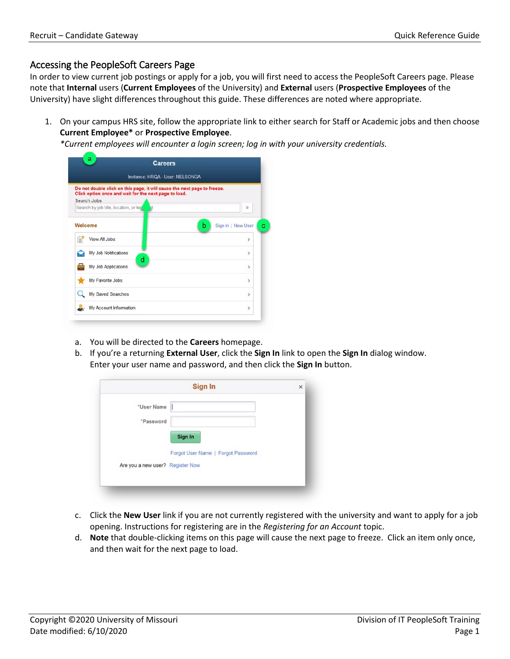## Accessing the PeopleSoft Careers Page

In order to view current job postings or apply for a job, you will first need to access the PeopleSoft Careers page. Please note that **Internal** users (**Current Employees** of the University) and **External** users (**Prospective Employees** of the University) have slight differences throughout this guide. These differences are noted where appropriate.

1. On your campus HRS site, follow the appropriate link to either search for Staff or Academic jobs and then choose **Current Employee\*** or **Prospective Employee**.

*\*Current employees will encounter a login screen; log in with your university credentials.*

| Instance: HRQA - User: NELSONGA                                                                                                   |                         |  |  |  |
|-----------------------------------------------------------------------------------------------------------------------------------|-------------------------|--|--|--|
| Do not double click on this page, it will cause the next page to freeze.<br>Click option once and wait for the next page to load. |                         |  |  |  |
| Search Jobs                                                                                                                       |                         |  |  |  |
| Search by job title, location, or ket                                                                                             | $\gg$                   |  |  |  |
| Welcome                                                                                                                           | b<br>Sign In   New User |  |  |  |
| View All Jobs<br>B                                                                                                                | $\mathcal{P}$           |  |  |  |
| My Job Notifications<br>d                                                                                                         | $\overline{ }$          |  |  |  |
| My Job Applications<br>÷n.                                                                                                        | $\mathcal{P}$           |  |  |  |
| My Favorite Jobs                                                                                                                  | $\mathcal{P}$           |  |  |  |
| My Saved Searches                                                                                                                 | $\rightarrow$           |  |  |  |
| My Account Information                                                                                                            | $\mathcal{P}$           |  |  |  |

- a. You will be directed to the **Careers** homepage.
- b. If you're a returning **External User**, click the **Sign In** link to open the **Sign In** dialog window. Enter your user name and password, and then click the **Sign In** button.

|                                  | Sign In                            | $\times$ |
|----------------------------------|------------------------------------|----------|
| *User Name                       |                                    |          |
| *Password                        |                                    |          |
|                                  | Sign In                            |          |
|                                  | Forgot User Name   Forgot Password |          |
| Are you a new user? Register Now |                                    |          |

- c. Click the **New User** link if you are not currently registered with the university and want to apply for a job opening. Instructions for registering are in the *Registering for an Account* topic.
- d. **Note** that double-clicking items on this page will cause the next page to freeze. Click an item only once, and then wait for the next page to load.